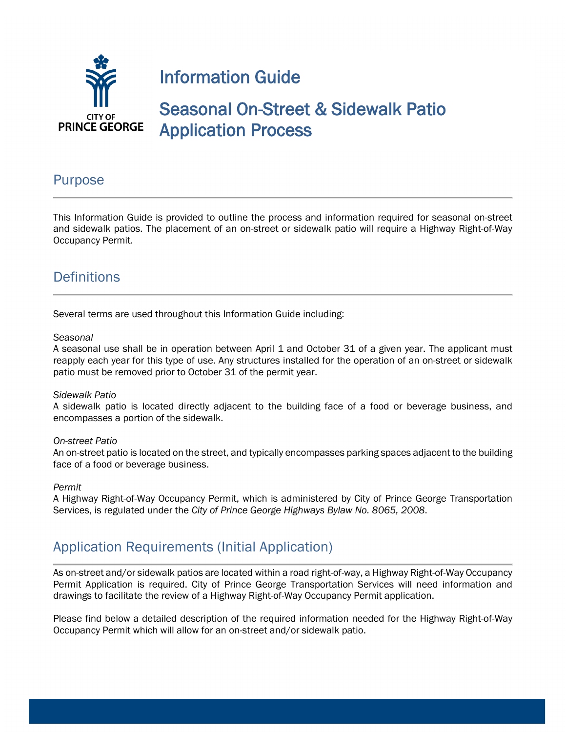

## Purpose

This Information Guide is provided to outline the process and information required for seasonal on-street and sidewalk patios. The placement of an on-street or sidewalk patio will require a Highway Right-of-Way Occupancy Permit.

# **Definitions**

Several terms are used throughout this Information Guide including:

#### *Seasonal*

A seasonal use shall be in operation between April 1 and October 31 of a given year. The applicant must reapply each year for this type of use. Any structures installed for the operation of an on-street or sidewalk patio must be removed prior to October 31 of the permit year.

#### *Sidewalk Patio*

A sidewalk patio is located directly adjacent to the building face of a food or beverage business, and encompasses a portion of the sidewalk.

### *On-street Patio*

An on-street patio is located on the street, and typically encompasses parking spaces adjacent to the building face of a food or beverage business.

#### *Permit*

A Highway Right-of-Way Occupancy Permit, which is administered by City of Prince George Transportation Services, is regulated under the *City of Prince George Highways Bylaw No. 8065, 2008*.

## Application Requirements (Initial Application)

As on-street and/or sidewalk patios are located within a road right-of-way, a Highway Right-of-Way Occupancy Permit Application is required. City of Prince George Transportation Services will need information and drawings to facilitate the review of a Highway Right-of-Way Occupancy Permit application.

Please find below a detailed description of the required information needed for the Highway Right-of-Way Occupancy Permit which will allow for an on-street and/or sidewalk patio.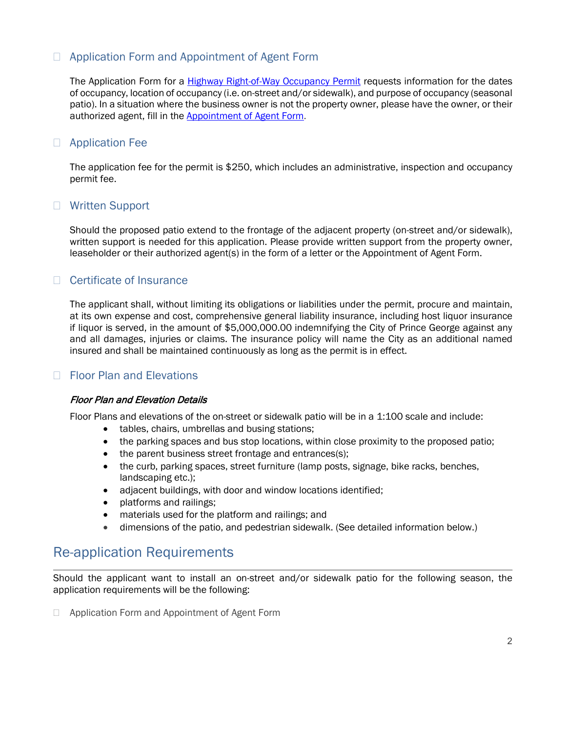## □ Application Form and Appointment of Agent Form

The Application Form for a **Highway Right-of-Way Occupancy Permit** requests information for the dates of occupancy, location of occupancy (i.e. on-street and/or sidewalk), and purpose of occupancy (seasonal patio). In a situation where the business owner is not the property owner, please have the owner, or their authorized agent, fill in the **Appointment of Agent Form.** 

### □ Application Fee

The application fee for the permit is \$250, which includes an administrative, inspection and occupancy permit fee.

### □ Written Support

Should the proposed patio extend to the frontage of the adjacent property (on-street and/or sidewalk), written support is needed for this application. Please provide written support from the property owner, leaseholder or their authorized agent(s) in the form of a letter or the Appointment of Agent Form.

## □ Certificate of Insurance

The applicant shall, without limiting its obligations or liabilities under the permit, procure and maintain, at its own expense and cost, comprehensive general liability insurance, including host liquor insurance if liquor is served, in the amount of \$5,000,000.00 indemnifying the City of Prince George against any and all damages, injuries or claims. The insurance policy will name the City as an additional named insured and shall be maintained continuously as long as the permit is in effect.

## □ Floor Plan and Elevations

### Floor Plan and Elevation Details

Floor Plans and elevations of the on-street or sidewalk patio will be in a 1:100 scale and include:

- tables, chairs, umbrellas and busing stations;
- the parking spaces and bus stop locations, within close proximity to the proposed patio;
- the parent business street frontage and entrances(s);
- the curb, parking spaces, street furniture (lamp posts, signage, bike racks, benches, landscaping etc.);
- adjacent buildings, with door and window locations identified;
- platforms and railings;
- materials used for the platform and railings; and
- dimensions of the patio, and pedestrian sidewalk. (See detailed information below.)

## Re-application Requirements

Should the applicant want to install an on-street and/or sidewalk patio for the following season, the application requirements will be the following:

□ Application Form and Appointment of Agent Form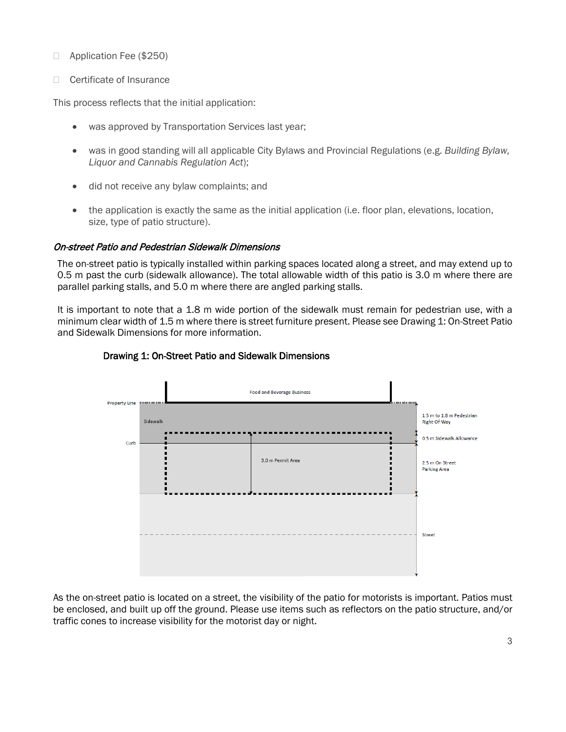Application Fee (\$250)

□ Certificate of Insurance

This process reflects that the initial application:

- was approved by Transportation Services last year;
- was in good standing will all applicable City Bylaws and Provincial Regulations (e.g. *Building Bylaw, Liquor and Cannabis Regulation Act*);
- did not receive any bylaw complaints; and
- the application is exactly the same as the initial application (i.e. floor plan, elevations, location, size, type of patio structure).

### On-street Patio and Pedestrian Sidewalk Dimensions

The on-street patio is typically installed within parking spaces located along a street, and may extend up to 0.5 m past the curb (sidewalk allowance). The total allowable width of this patio is 3.0 m where there are parallel parking stalls, and 5.0 m where there are angled parking stalls.

It is important to note that a 1.8 m wide portion of the sidewalk must remain for pedestrian use, with a minimum clear width of 1.5 m where there is street furniture present. Please see Drawing 1: On-Street Patio and Sidewalk Dimensions for more information.



### Drawing 1: On-Street Patio and Sidewalk Dimensions

As the on-street patio is located on a street, the visibility of the patio for motorists is important. Patios must be enclosed, and built up off the ground. Please use items such as reflectors on the patio structure, and/or traffic cones to increase visibility for the motorist day or night.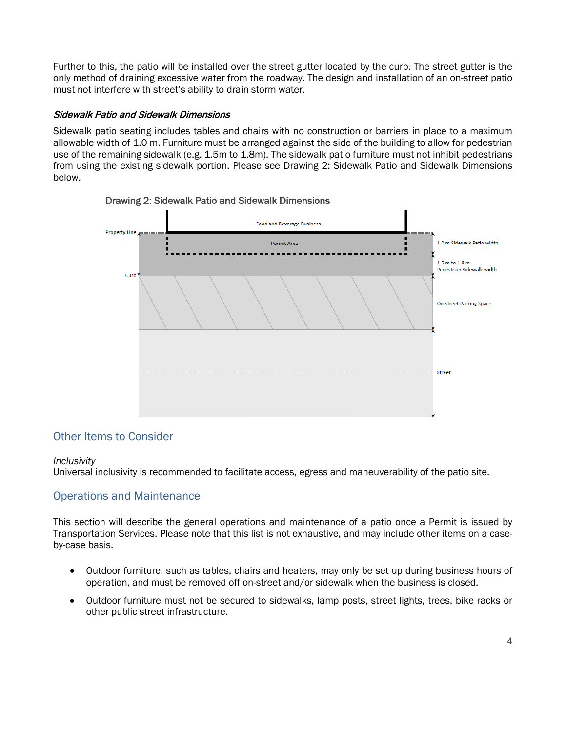Further to this, the patio will be installed over the street gutter located by the curb. The street gutter is the only method of draining excessive water from the roadway. The design and installation of an on-street patio must not interfere with street's ability to drain storm water.

### Sidewalk Patio and Sidewalk Dimensions

Sidewalk patio seating includes tables and chairs with no construction or barriers in place to a maximum allowable width of 1.0 m. Furniture must be arranged against the side of the building to allow for pedestrian use of the remaining sidewalk (e.g. 1.5m to 1.8m). The sidewalk patio furniture must not inhibit pedestrians from using the existing sidewalk portion. Please see Drawing 2: Sidewalk Patio and Sidewalk Dimensions below.



## Drawing 2: Sidewalk Patio and Sidewalk Dimensions

## Other Items to Consider

### *Inclusivity*

Universal inclusivity is recommended to facilitate access, egress and maneuverability of the patio site.

## Operations and Maintenance

This section will describe the general operations and maintenance of a patio once a Permit is issued by Transportation Services. Please note that this list is not exhaustive, and may include other items on a caseby-case basis.

- Outdoor furniture, such as tables, chairs and heaters, may only be set up during business hours of operation, and must be removed off on-street and/or sidewalk when the business is closed.
- Outdoor furniture must not be secured to sidewalks, lamp posts, street lights, trees, bike racks or other public street infrastructure.